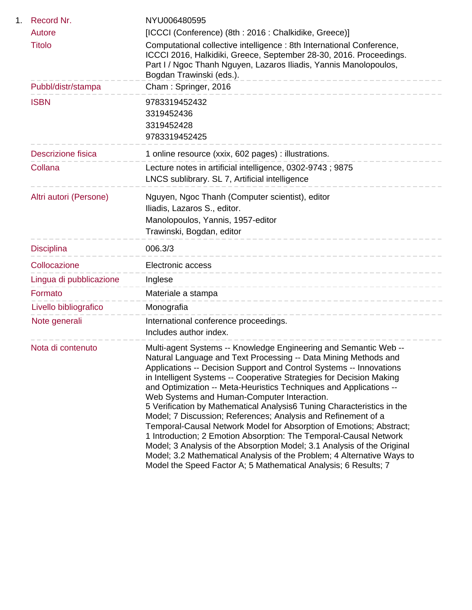| 1. | Record Nr.                | NYU006480595                                                                                                                                                                                                                                                                                                                                                                                                                                                                                                                                                                                                                                                                                                                                                                                                                                                                                                            |
|----|---------------------------|-------------------------------------------------------------------------------------------------------------------------------------------------------------------------------------------------------------------------------------------------------------------------------------------------------------------------------------------------------------------------------------------------------------------------------------------------------------------------------------------------------------------------------------------------------------------------------------------------------------------------------------------------------------------------------------------------------------------------------------------------------------------------------------------------------------------------------------------------------------------------------------------------------------------------|
|    | Autore                    | [ICCCI (Conference) (8th: 2016: Chalkidike, Greece)]                                                                                                                                                                                                                                                                                                                                                                                                                                                                                                                                                                                                                                                                                                                                                                                                                                                                    |
|    | <b>Titolo</b>             | Computational collective intelligence: 8th International Conference,<br>ICCCI 2016, Halkidiki, Greece, September 28-30, 2016. Proceedings.<br>Part I / Ngoc Thanh Nguyen, Lazaros Iliadis, Yannis Manolopoulos,<br>Bogdan Trawinski (eds.).                                                                                                                                                                                                                                                                                                                                                                                                                                                                                                                                                                                                                                                                             |
|    | Pubbl/distr/stampa        | Cham: Springer, 2016                                                                                                                                                                                                                                                                                                                                                                                                                                                                                                                                                                                                                                                                                                                                                                                                                                                                                                    |
|    | <b>ISBN</b>               | 9783319452432<br>3319452436<br>3319452428<br>9783319452425                                                                                                                                                                                                                                                                                                                                                                                                                                                                                                                                                                                                                                                                                                                                                                                                                                                              |
|    | <b>Descrizione fisica</b> | 1 online resource (xxix, 602 pages) : illustrations.                                                                                                                                                                                                                                                                                                                                                                                                                                                                                                                                                                                                                                                                                                                                                                                                                                                                    |
|    | Collana                   | Lecture notes in artificial intelligence, 0302-9743; 9875<br>LNCS sublibrary. SL 7, Artificial intelligence                                                                                                                                                                                                                                                                                                                                                                                                                                                                                                                                                                                                                                                                                                                                                                                                             |
|    | Altri autori (Persone)    | Nguyen, Ngoc Thanh (Computer scientist), editor<br>Iliadis, Lazaros S., editor.<br>Manolopoulos, Yannis, 1957-editor<br>Trawinski, Bogdan, editor                                                                                                                                                                                                                                                                                                                                                                                                                                                                                                                                                                                                                                                                                                                                                                       |
|    | <b>Disciplina</b>         | 006.3/3<br>________________________                                                                                                                                                                                                                                                                                                                                                                                                                                                                                                                                                                                                                                                                                                                                                                                                                                                                                     |
|    | Collocazione              | Electronic access                                                                                                                                                                                                                                                                                                                                                                                                                                                                                                                                                                                                                                                                                                                                                                                                                                                                                                       |
|    | Lingua di pubblicazione   | ----------------------------------<br>Inglese<br>_________________________________                                                                                                                                                                                                                                                                                                                                                                                                                                                                                                                                                                                                                                                                                                                                                                                                                                      |
|    | Formato                   | Materiale a stampa                                                                                                                                                                                                                                                                                                                                                                                                                                                                                                                                                                                                                                                                                                                                                                                                                                                                                                      |
|    | Livello bibliografico     | Monografia<br>--------------------                                                                                                                                                                                                                                                                                                                                                                                                                                                                                                                                                                                                                                                                                                                                                                                                                                                                                      |
|    | Note generali             | International conference proceedings.<br>Includes author index.                                                                                                                                                                                                                                                                                                                                                                                                                                                                                                                                                                                                                                                                                                                                                                                                                                                         |
|    | Nota di contenuto         | Multi-agent Systems -- Knowledge Engineering and Semantic Web --<br>Natural Language and Text Processing -- Data Mining Methods and<br>Applications -- Decision Support and Control Systems -- Innovations<br>in Intelligent Systems -- Cooperative Strategies for Decision Making<br>and Optimization -- Meta-Heuristics Techniques and Applications --<br>Web Systems and Human-Computer Interaction.<br>5 Verification by Mathematical Analysis 6 Tuning Characteristics in the<br>Model; 7 Discussion; References; Analysis and Refinement of a<br>Temporal-Causal Network Model for Absorption of Emotions; Abstract;<br>1 Introduction; 2 Emotion Absorption: The Temporal-Causal Network<br>Model; 3 Analysis of the Absorption Model; 3.1 Analysis of the Original<br>Model; 3.2 Mathematical Analysis of the Problem; 4 Alternative Ways to<br>Model the Speed Factor A; 5 Mathematical Analysis; 6 Results; 7 |